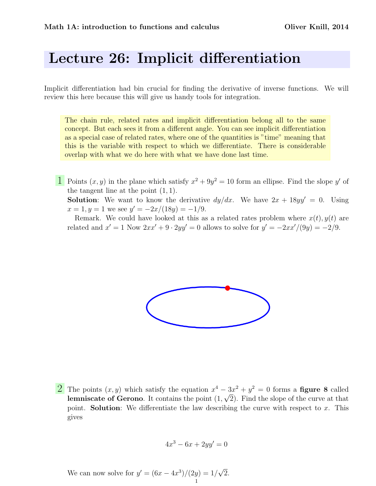## Lecture 26: Implicit differentiation

Implicit differentiation had bin crucial for finding the derivative of inverse functions. We will review this here because this will give us handy tools for integration.

The chain rule, related rates and implicit differentiation belong all to the same concept. But each sees it from a different angle. You can see implicit differentiation as a special case of related rates, where one of the quantities is "time" meaning that this is the variable with respect to which we differentiate. There is considerable overlap with what we do here with what we have done last time.

**1** Points  $(x, y)$  in the plane which satisfy  $x^2 + 9y^2 = 10$  form an ellipse. Find the slope y' of the tangent line at the point  $(1, 1)$ .

**Solution:** We want to know the derivative  $dy/dx$ . We have  $2x + 18yy' = 0$ . Using  $x = 1, y = 1$  we see  $y' = -2x/(18y) = -1/9$ .

Remark. We could have looked at this as a related rates problem where  $x(t)$ ,  $y(t)$  are related and  $x' = 1$  Now  $2xx' + 9 \cdot 2yy' = 0$  allows to solve for  $y' = -2xx'/(9y) = -2/9$ .



2 The points  $(x, y)$  which satisfy the equation  $x^4 - 3x^2 + y^2 = 0$  forms a **figure 8** called **lemniscate of Gerono**. It contains the point  $(1, \sqrt{2})$ . Find the slope of the curve at that point. **Solution**: We differentiate the law describing the curve with respect to  $x$ . This gives

$$
4x^3 - 6x + 2yy' = 0
$$

We can now solve for  $y' = (6x - 4x^3)/(2y) = 1/$ √ 2. 1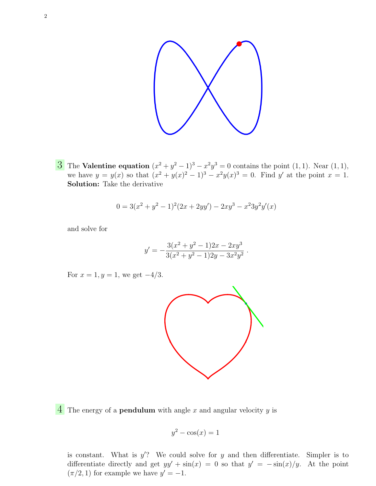

3 The Valentine equation  $(x^2 + y^2 - 1)^3 - x^2y^3 = 0$  contains the point  $(1, 1)$ . Near  $(1, 1)$ , we have  $y = y(x)$  so that  $(x^2 + y(x)^2 - 1)^3 - x^2y(x)^3 = 0$ . Find y' at the point  $x = 1$ . Solution: Take the derivative

$$
0 = 3(x^{2} + y^{2} - 1)^{2}(2x + 2yy') - 2xy^{3} - x^{2}3y^{2}y'(x)
$$

and solve for

$$
y' = -\frac{3(x^2 + y^2 - 1)2x - 2xy^3}{3(x^2 + y^2 - 1)2y - 3x^2y^2}
$$

For  $x = 1, y = 1$ , we get  $-4/3$ .



.

 $\overline{4}$  The energy of a **pendulum** with angle x and angular velocity y is

$$
y^2 - \cos(x) = 1
$$

is constant. What is  $y'$ ? We could solve for y and then differentiate. Simpler is to differentiate directly and get  $yy' + \sin(x) = 0$  so that  $y' = -\sin(x)/y$ . At the point  $(\pi/2, 1)$  for example we have  $y' = -1$ .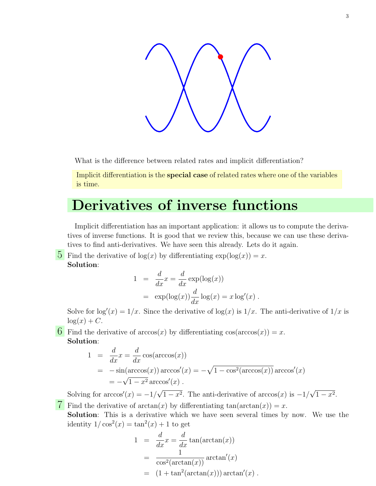

What is the difference between related rates and implicit differentiation?

Implicit differentiation is the special case of related rates where one of the variables is time.

## Derivatives of inverse functions

Implicit differentiation has an important application: it allows us to compute the derivatives of inverse functions. It is good that we review this, because we can use these derivatives to find anti-derivatives. We have seen this already. Lets do it again.

 $\overline{5}$  Find the derivative of log(x) by differentiating  $\exp(\log(x)) = x$ . Solution:

$$
1 = \frac{d}{dx}x = \frac{d}{dx}\exp(\log(x))
$$
  
=  $\exp(\log(x))\frac{d}{dx}\log(x) = x\log'(x)$ .

Solve for  $\log'(x) = 1/x$ . Since the derivative of  $\log(x)$  is  $1/x$ . The anti-derivative of  $1/x$  is  $log(x) + C.$ 

6 Find the derivative of  $arccos(x)$  by differentiating  $cos(arccos(x)) = x$ . Solution:

$$
1 = \frac{d}{dx}x = \frac{d}{dx}\cos(\arccos(x))
$$
  
=  $-\sin(\arccos(x))\arccos'(x) = -\sqrt{1 - \cos^2(\arccos(x))}\arccos'(x)$   
=  $-\sqrt{1 - x^2}\arccos'(x)$ .

Solving for  $arccos'(x) = -1/$  $1-x^2$ . The anti-derivative of  $arccos(x)$  is  $-1/$ √  $1 - x^2$ . 7 Find the derivative of  $arctan(x)$  by differentiating  $tan(arctan(x)) = x$ .

Solution: This is a derivative which we have seen several times by now. We use the identity  $1/\cos^2(x) = \tan^2(x) + 1$  to get

$$
1 = \frac{d}{dx}x = \frac{d}{dx}\tan(\arctan(x))
$$
  
= 
$$
\frac{1}{\cos^2(\arctan(x))}\arctan'(x)
$$
  
= 
$$
(1 + \tan^2(\arctan(x)))\arctan'(x).
$$